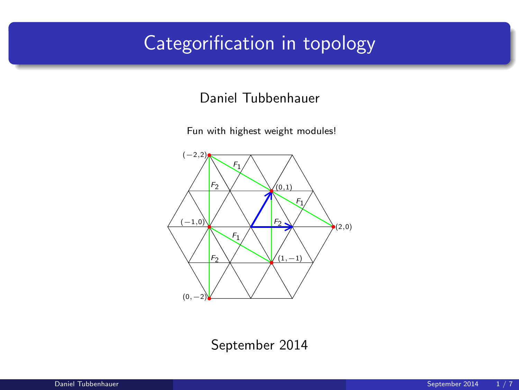# Categorification in topology

#### Daniel Tubbenhauer

Fun with highest weight modules!



September 2014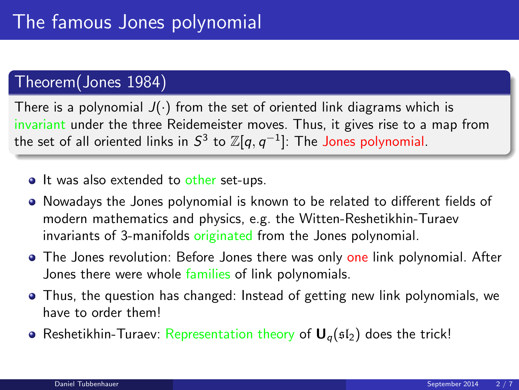#### Theorem(Jones 1984)

There is a polynomial  $J(\cdot)$  from the set of oriented link diagrams which is invariant under the three Reidemeister moves. Thus, it gives rise to a map from the set of all oriented links in  $S^3$  to  $\mathbb{Z}[q,q^{-1}]$ : The Jones polynomial.

- It was also extended to other set-ups.
- Nowadays the Jones polynomial is known to be related to different fields of modern mathematics and physics, e.g. the Witten-Reshetikhin-Turaev invariants of 3-manifolds originated from the Jones polynomial.
- The Jones revolution: Before Jones there was only one link polynomial. After Jones there were whole families of link polynomials.
- Thus, the question has changed: Instead of getting new link polynomials, we have to order them!
- Reshetikhin-Turaev: Representation theory of  $U_{q}(sI_{2})$  does the trick!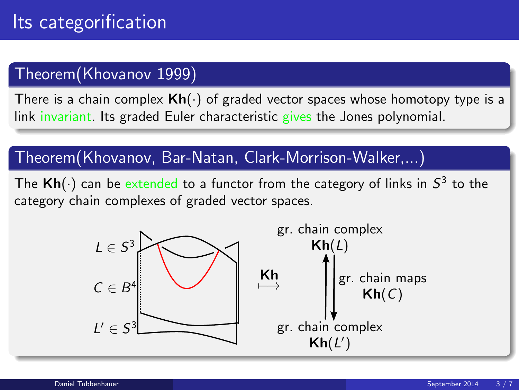### Theorem(Khovanov 1999)

There is a chain complex  $\mathsf{Kh}(\cdot)$  of graded vector spaces whose homotopy type is a link invariant. Its graded Euler characteristic gives the Jones polynomial.

### Theorem(Khovanov, Bar-Natan, Clark-Morrison-Walker,...)

The  $\mathsf{Kh}(\cdot)$  can be extended to a functor from the category of links in  $\mathcal{S}^3$  to the category chain complexes of graded vector spaces.

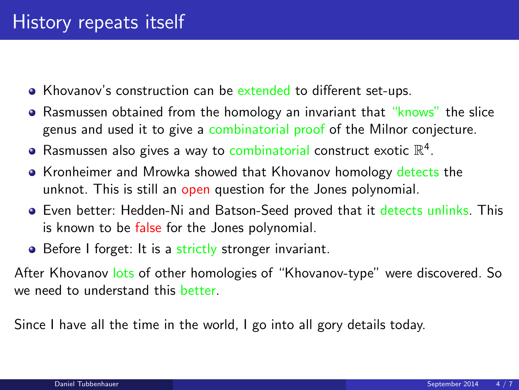- Khovanov's construction can be extended to different set-ups.
- Rasmussen obtained from the homology an invariant that "knows" the slice genus and used it to give a combinatorial proof of the Milnor conjecture.
- Rasmussen also gives a way to combinatorial construct exotic  $\mathbb{R}^4$ .
- Kronheimer and Mrowka showed that Khovanov homology detects the unknot. This is still an open question for the Jones polynomial.
- **Exen better: Hedden-Ni and Batson-Seed proved that it detects unlinks. This** is known to be false for the Jones polynomial.
- Before I forget: It is a strictly stronger invariant.

After Khovanov lots of other homologies of "Khovanov-type" were discovered. So we need to understand this better.

Since I have all the time in the world, I go into all gory details today.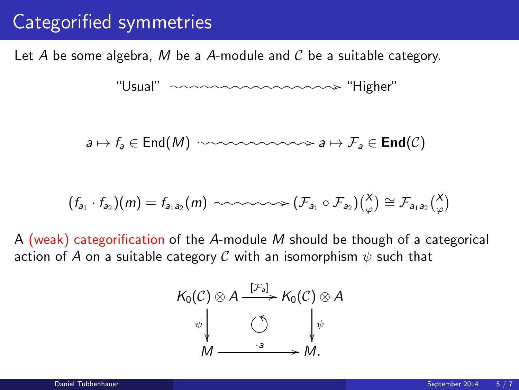### Categorified symmetries

Let A be some algebra, M be a A-module and  $\mathcal C$  be a suitable category.

"Usual" /o/o/o/o/o /o/o/o/o/o/o /o/o/o/o/o /"Higher"

$$
a \mapsto f_a \in \text{End}(M) \ \ \text{isomorphism} \ a \mapsto \mathcal{F}_a \in \text{End}(\mathcal{C})
$$

$$
(f_{a_1} \cdot f_{a_2})(m) = f_{a_1 a_2}(m) \sim \sim \sim \sim \sim \sim (\mathcal{F}_{a_1} \circ \mathcal{F}_{a_2})(\begin{matrix} X \\ \varphi \end{matrix}) \cong \mathcal{F}_{a_1 a_2} \begin{pmatrix} X \\ \varphi \end{pmatrix}
$$

A (weak) categorification of the A-module M should be though of a categorical action of A on a suitable category C with an isomorphism  $\psi$  such that

$$
K_0(C) \otimes A \xrightarrow{[\mathcal{F}_a]} K_0(C) \otimes A
$$
  
\n
$$
\psi \downarrow \qquad \circlearrowleft \qquad \qquad \downarrow \psi
$$
  
\n
$$
M \xrightarrow{\cdot a} M.
$$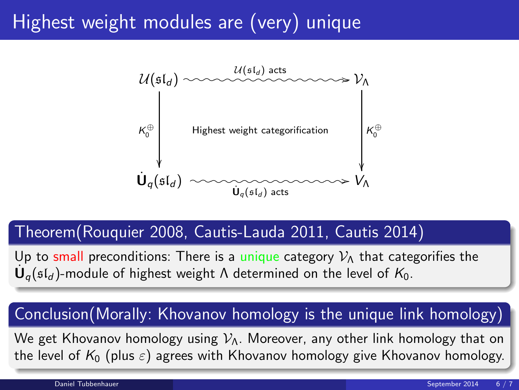# Highest weight modules are (very) unique



#### Theorem(Rouquier 2008, Cautis-Lauda 2011, Cautis 2014)

Up to small preconditions: There is a unique category  $\mathcal{V}_\Lambda$  that categorifies the  $\dot{\mathsf{U}}_q(\mathfrak{sl}_d)$ -module of highest weight  $\Lambda$  determined on the level of  $\mathsf{K}_0.$ 

### Conclusion(Morally: Khovanov homology is the unique link homology)

We get Khovanov homology using  $V_{\Lambda}$ . Moreover, any other link homology that on the level of  $K_0$  (plus  $\varepsilon$ ) agrees with Khovanov homology give Khovanov homology.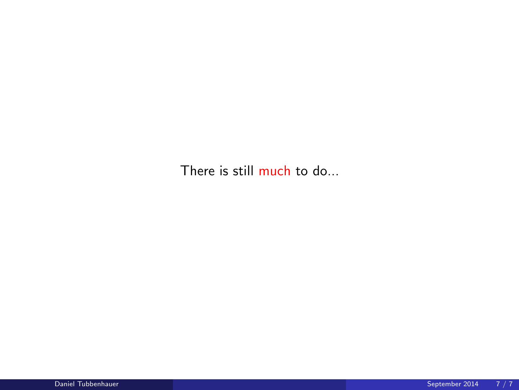There is still much to do...